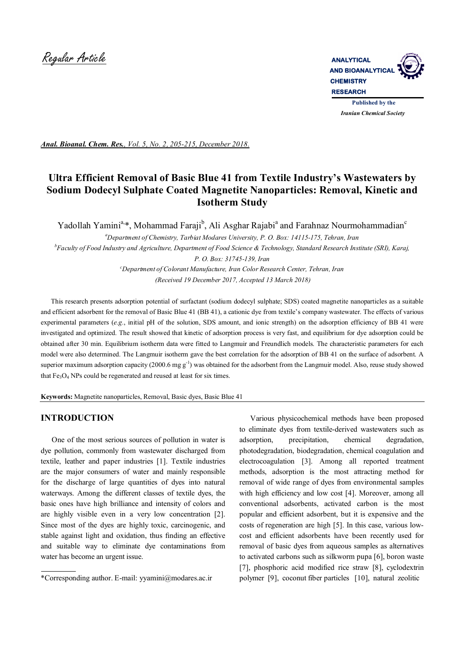

*Anal. Bioanal. Chem. Res., Vol. 5, No. 2, 205-215, December 2018.*

# **Ultra Efficient Removal of Basic Blue 41 from Textile Industry's Wastewaters by Sodium Dodecyl Sulphate Coated Magnetite Nanoparticles: Removal, Kinetic and Isotherm Study**

Yadollah Yamini<sup>a,</sup>\*, Mohammad Faraji<sup>b</sup>, Ali Asghar Rajabi<sup>a</sup> and Farahnaz Nourmohammadian<sup>c</sup>

*<sup>a</sup>Department of Chemistry, Tarbiat Modares University, P. O. Box: 14115-175, Tehran, Iran*

*<sup>b</sup>Faculty of Food Industry and Agriculture, Department of Food Science & Technology, Standard Research Institute (SRI), Karaj, P. O. Box: 31745-139, Iran*

> *<sup>c</sup>Department of Colorant Manufacture, Iran Color Research Center, Tehran, Iran (Received 19 December 2017, Accepted 13 March 2018)*

 This research presents adsorption potential of surfactant (sodium dodecyl sulphate; SDS) coated magnetite nanoparticles as a suitable and efficient adsorbent for the removal of Basic Blue 41 (BB 41), a cationic dye from textile's company wastewater. The effects of various experimental parameters (*e.g.*, initial pH of the solution, SDS amount, and ionic strength) on the adsorption efficiency of BB 41 were investigated and optimized. The result showed that kinetic of adsorption process is very fast, and equilibrium for dye adsorption could be obtained after 30 min. Equilibrium isotherm data were fitted to Langmuir and Freundlich models. The characteristic parameters for each model were also determined. The Langmuir isotherm gave the best correlation for the adsorption of BB 41 on the surface of adsorbent. A superior maximum adsorption capacity  $(2000.6 \text{ mg g}^{-1})$  was obtained for the adsorbent from the Langmuir model. Also, reuse study showed that  $Fe<sub>3</sub>O<sub>4</sub>$  NPs could be regenerated and reused at least for six times.

**Keywords:** Magnetite nanoparticles, Removal, Basic dyes, Basic Blue 41

## **INTRODUCTION**

 One of the most serious sources of pollution in water is dye pollution, commonly from wastewater discharged from textile, leather and paper industries [1]. Textile industries are the major consumers of water and mainly responsible for the discharge of large quantities of dyes into natural waterways. Among the different classes of textile dyes, the basic ones have high brilliance and intensity of colors and are highly visible even in a very low concentration [2]. Since most of the dyes are highly toxic, carcinogenic, and stable against light and oxidation, thus finding an effective and suitable way to eliminate dye contaminations from water has become an urgent issue.

 Various physicochemical methods have been proposed to eliminate dyes from textile-derived wastewaters such as adsorption, precipitation, chemical degradation, photodegradation, biodegradation, chemical coagulation and electrocoagulation [3]. Among all reported treatment methods, adsorption is the most attracting method for removal of wide range of dyes from environmental samples with high efficiency and low cost [4]. Moreover, among all conventional adsorbents, activated carbon is the most popular and efficient adsorbent, but it is expensive and the costs of regeneration are high [5]. In this case, various lowcost and efficient adsorbents have been recently used for removal of basic dyes from aqueous samples as alternatives to activated carbons such as silkworm pupa [6], boron waste [7], phosphoric acid modified rice straw [8], cyclodextrin polymer [9], coconut fiber particles [10], natural zeolitic

<sup>\*</sup>Corresponding author. E-mail: yyamini@modares.ac.ir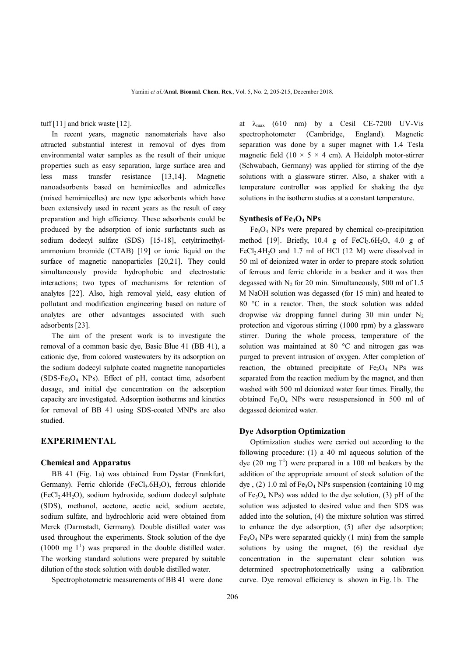tuff [11] and brick waste [12].

 In recent years, magnetic nanomaterials have also attracted substantial interest in removal of dyes from environmental water samples as the result of their unique properties such as easy separation, large surface area and less mass transfer resistance [13,14]. Magnetic nanoadsorbents based on hemimicelles and admicelles (mixed hemimicelles) are new type adsorbents which have been extensively used in recent years as the result of easy preparation and high efficiency. These adsorbents could be produced by the adsorption of ionic surfactants such as sodium dodecyl sulfate (SDS) [15-18], cetyltrimethylammonium bromide (CTAB) [19] or ionic liquid on the surface of magnetic nanoparticles [20,21]. They could simultaneously provide hydrophobic and electrostatic interactions; two types of mechanisms for retention of analytes [22]. Also, high removal yield, easy elution of pollutant and modification engineering based on nature of analytes are other advantages associated with such adsorbents [23].

 The aim of the present work is to investigate the removal of a common basic dye, Basic Blue 41 (BB 41), a cationic dye, from colored wastewaters by its adsorption on the sodium dodecyl sulphate coated magnetite nanoparticles (SDS-Fe3O4 NPs). Effect of pH, contact time, adsorbent dosage, and initial dye concentration on the adsorption capacity are investigated. Adsorption isotherms and kinetics for removal of BB 41 using SDS-coated MNPs are also studied.

## **EXPERIMENTAL**

#### **Chemical and Apparatus**

BB 41 (Fig. 1a) was obtained from Dystar (Frankfurt, Germany). Ferric chloride (FeCl<sub>3</sub>.6H<sub>2</sub>O), ferrous chloride (FeCl2.4H2O), sodium hydroxide, sodium dodecyl sulphate (SDS), methanol, acetone, acetic acid, sodium acetate, sodium sulfate, and hydrochloric acid were obtained from Merck (Darmstadt, Germany). Double distilled water was used throughout the experiments. Stock solution of the dye  $(1000 \text{ mg } l^{-1})$  was prepared in the double distilled water. The working standard solutions were prepared by suitable dilution of the stock solution with double distilled water.

Spectrophotometric measurements of BB 41 were done

at  $\lambda_{\text{max}}$  (610 nm) by a Cesil CE-7200 UV-Vis spectrophotometer (Cambridge, England). Magnetic separation was done by a super magnet with 1.4 Tesla magnetic field  $(10 \times 5 \times 4$  cm). A Heidolph motor-stirrer (Schwabach, Germany) was applied for stirring of the dye solutions with a glassware stirrer. Also, a shaker with a temperature controller was applied for shaking the dye solutions in the isotherm studies at a constant temperature.

#### **Synthesis of Fe3O4 NPs**

 $Fe<sub>3</sub>O<sub>4</sub>$  NPs were prepared by chemical co-precipitation method [19]. Briefly,  $10.4$  g of FeCl<sub>3</sub>.6H<sub>2</sub>O,  $4.0$  g of  $FeCl<sub>2</sub>.4H<sub>2</sub>O$  and 1.7 ml of HCl (12 M) were dissolved in 50 ml of deionized water in order to prepare stock solution of ferrous and ferric chloride in a beaker and it was then degassed with  $N_2$  for 20 min. Simultaneously, 500 ml of 1.5 M NaOH solution was degassed (for 15 min) and heated to 80 °C in a reactor. Then, the stock solution was added dropwise *via* dropping funnel during 30 min under  $N_2$ protection and vigorous stirring (1000 rpm) by a glassware stirrer. During the whole process, temperature of the solution was maintained at 80 °C and nitrogen gas was purged to prevent intrusion of oxygen. After completion of reaction, the obtained precipitate of  $Fe<sub>3</sub>O<sub>4</sub>$  NPs was separated from the reaction medium by the magnet, and then washed with 500 ml deionized water four times. Finally, the obtained  $Fe<sub>3</sub>O<sub>4</sub>$  NPs were resuspensioned in 500 ml of degassed deionized water.

### **Dye Adsorption Optimization**

 Optimization studies were carried out according to the following procedure: (1) a 40 ml aqueous solution of the dye  $(20 \text{ mg } l^{\text{-}1})$  were prepared in a 100 ml beakers by the addition of the appropriate amount of stock solution of the dye,  $(2)$  1.0 ml of Fe<sub>3</sub>O<sub>4</sub> NPs suspension (containing 10 mg) of  $Fe<sub>3</sub>O<sub>4</sub>$  NPs) was added to the dye solution, (3) pH of the solution was adjusted to desired value and then SDS was added into the solution, (4) the mixture solution was stirred to enhance the dye adsorption, (5) after dye adsorption;  $Fe<sub>3</sub>O<sub>4</sub>$  NPs were separated quickly (1 min) from the sample solutions by using the magnet, (6) the residual dye concentration in the supernatant clear solution was determined spectrophotometrically using a calibration curve. Dye removal efficiency is shown in Fig. 1b. The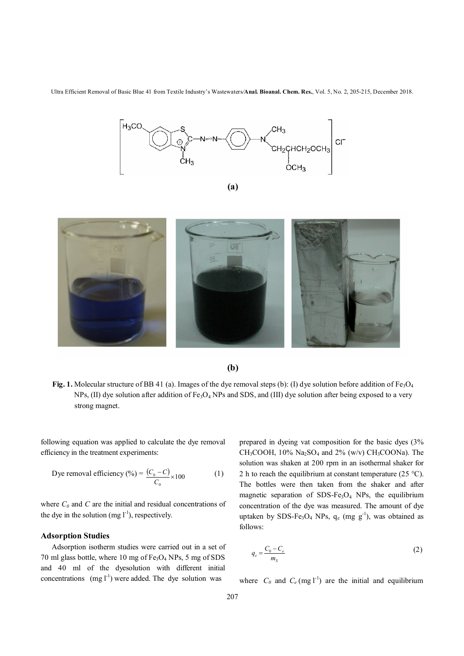

$$
(a)
$$



**(b)**

**Fig. 1.** Molecular structure of BB 41 (a). Images of the dye removal steps (b): (I) dye solution before addition of  $Fe<sub>3</sub>O<sub>4</sub>$ NPs, (II) dye solution after addition of Fe<sub>3</sub>O<sub>4</sub> NPs and SDS, and (III) dye solution after being exposed to a very strong magnet.

following equation was applied to calculate the dye removal efficiency in the treatment experiments:

Dye removal efficiency (%) = 
$$
\frac{(C_0 - C)}{C_0} \times 100
$$
 (1)

where  $C_0$  and  $C$  are the initial and residual concentrations of the dye in the solution (mg  $l^{-1}$ ), respectively.

## **Adsorption Studies**

 Adsorption isotherm studies were carried out in a set of 70 ml glass bottle, where 10 mg of  $Fe<sub>3</sub>O<sub>4</sub>$  NPs, 5 mg of SDS and 40 ml of the dyesolution with different initial concentrations  $(mg l<sup>-1</sup>)$  were added. The dye solution was

prepared in dyeing vat composition for the basic dyes (3% CH<sub>3</sub>COOH,  $10\%$  Na<sub>2</sub>SO<sub>4</sub> and  $2\%$  (w/v) CH<sub>3</sub>COONa). The solution was shaken at 200 rpm in an isothermal shaker for 2 h to reach the equilibrium at constant temperature (25  $^{\circ}$ C). The bottles were then taken from the shaker and after magnetic separation of  $SDS-Fe<sub>3</sub>O<sub>4</sub>$  NPs, the equilibrium concentration of the dye was measured. The amount of dye uptaken by SDS-Fe<sub>3</sub>O<sub>4</sub> NPs,  $q_e$  (mg  $g^{-1}$ ), was obtained as follows:

$$
q_e = \frac{C_0 - C_e}{m_S} \tag{2}
$$

where  $C_0$  and  $C_e$  (mg l<sup>-1</sup>) are the initial and equilibrium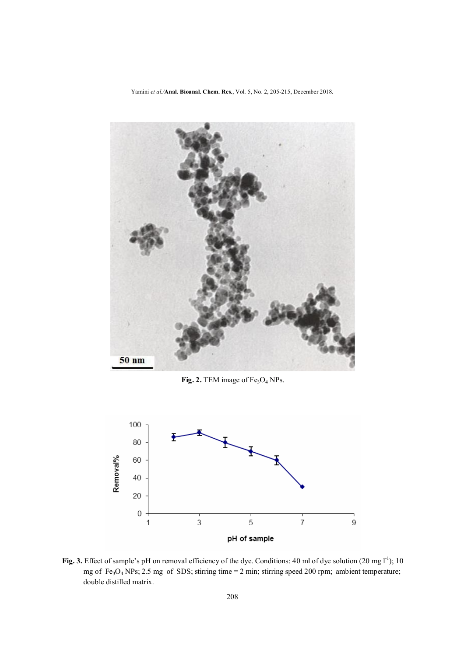Yamini *et al./***Anal. Bioanal. Chem. Res.**, Vol. 5, No. 2, 205-215, December 2018.



Fig. 2. TEM image of Fe<sub>3</sub>O<sub>4</sub> NPs.



Fig. 3. Effect of sample's pH on removal efficiency of the dye. Conditions: 40 ml of dye solution (20 mg l<sup>-1</sup>); 10 mg of Fe3O4 NPs; 2.5 mg of SDS; stirring time = 2 min; stirring speed 200 rpm; ambient temperature; double distilled matrix.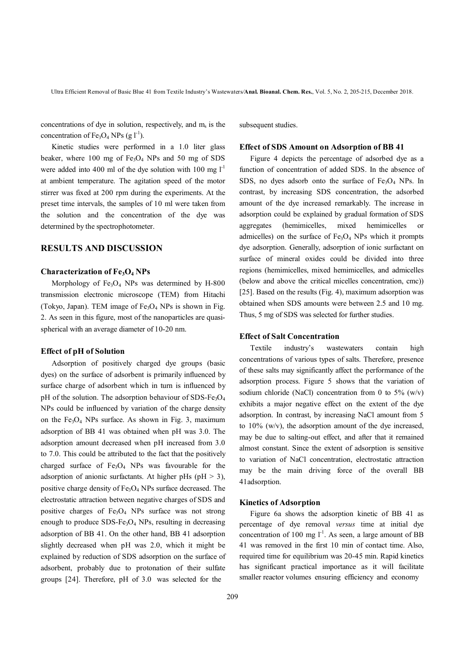concentrations of dye in solution, respectively, and  $m_s$  is the concentration of  $Fe<sub>3</sub>O<sub>4</sub> NPs (g l<sup>-1</sup>).$ 

 Kinetic studies were performed in a 1.0 liter glass beaker, where 100 mg of  $Fe<sub>3</sub>O<sub>4</sub>$  NPs and 50 mg of SDS were added into 400 ml of the dye solution with 100 mg  $l^{-1}$ at ambient temperature. The agitation speed of the motor stirrer was fixed at 200 rpm during the experiments. At the preset time intervals, the samples of 10 ml were taken from the solution and the concentration of the dye was determined by the spectrophotometer.

## **RESULTS AND DISCUSSION**

## **Characterization of Fe3O4 NPs**

Morphology of  $Fe<sub>3</sub>O<sub>4</sub>$  NPs was determined by H-800 transmission electronic microscope (TEM) from Hitachi (Tokyo, Japan). TEM image of  $Fe<sub>3</sub>O<sub>4</sub>$  NPs is shown in Fig. 2. As seen in this figure, most of the nanoparticles are quasispherical with an average diameter of 10-20 nm.

#### **Effect of pH of Solution**

 Adsorption of positively charged dye groups (basic dyes) on the surface of adsorbent is primarily influenced by surface charge of adsorbent which in turn is influenced by pH of the solution. The adsorption behaviour of SDS-Fe<sub>3</sub>O<sub>4</sub> NPs could be influenced by variation of the charge density on the  $Fe<sub>3</sub>O<sub>4</sub>$  NPs surface. As shown in Fig. 3, maximum adsorption of BB 41 was obtained when pH was 3.0. The adsorption amount decreased when pH increased from 3.0 to 7.0. This could be attributed to the fact that the positively charged surface of  $Fe<sub>3</sub>O<sub>4</sub>$  NPs was favourable for the adsorption of anionic surfactants. At higher pHs ( $pH > 3$ ), positive charge density of  $Fe<sub>3</sub>O<sub>4</sub>$  NPs surface decreased. The electrostatic attraction between negative charges of SDS and positive charges of Fe<sub>3</sub>O<sub>4</sub> NPs surface was not strong enough to produce  $SDS-Fe<sub>3</sub>O<sub>4</sub>$  NPs, resulting in decreasing adsorption of BB 41. On the other hand, BB 41 adsorption slightly decreased when pH was 2.0, which it might be explained by reduction of SDS adsorption on the surface of adsorbent, probably due to protonation of their sulfate groups [24]. Therefore, pH of 3.0 was selected for the

subsequent studies.

#### **Effect of SDS Amount on Adsorption of BB 41**

 Figure 4 depicts the percentage of adsorbed dye as a function of concentration of added SDS. In the absence of SDS, no dyes adsorb onto the surface of  $Fe<sub>3</sub>O<sub>4</sub>$  NPs. In contrast, by increasing SDS concentration, the adsorbed amount of the dye increased remarkably. The increase in adsorption could be explained by gradual formation of SDS aggregates (hemimicelles, mixed hemimicelles or admicelles) on the surface of  $Fe<sub>3</sub>O<sub>4</sub>$  NPs which it prompts dye adsorption. Generally, adsorption of ionic surfactant on surface of mineral oxides could be divided into three regions (hemimicelles, mixed hemimicelles, and admicelles (below and above the critical micelles concentration, cmc)) [25]. Based on the results (Fig. 4), maximum adsorption was obtained when SDS amounts were between 2.5 and 10 mg. Thus, 5 mg of SDS was selected for further studies.

## **Effect of Salt Concentration**

 Textile industry's wastewaters contain high concentrations of various types of salts. Therefore, presence of these salts may significantly affect the performance of the adsorption process. Figure 5 shows that the variation of sodium chloride (NaCl) concentration from 0 to 5%  $(w/v)$ exhibits a major negative effect on the extent of the dye adsorption. In contrast, by increasing NaCl amount from 5 to  $10\%$  (w/v), the adsorption amount of the dye increased, may be due to salting-out effect, and after that it remained almost constant. Since the extent of adsorption is sensitive to variation of NaCl concentration, electrostatic attraction may be the main driving force of the overall BB 41adsorption.

#### **Kinetics of Adsorption**

 Figure 6a shows the adsorption kinetic of BB 41 as percentage of dye removal *versus* time at initial dye concentration of 100 mg  $l^{-1}$ . As seen, a large amount of BB 41 was removed in the first 10 min of contact time. Also, required time for equilibrium was 20-45 min. Rapid kinetics has significant practical importance as it will facilitate smaller reactor volumes ensuring efficiency and economy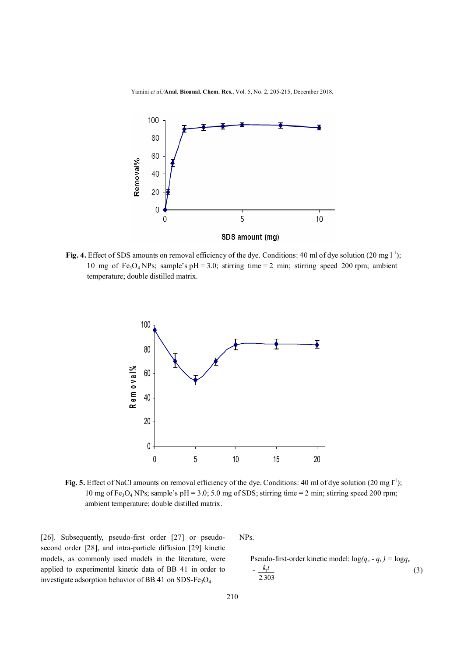Yamini *et al./***Anal. Bioanal. Chem. Res.**, Vol. 5, No. 2, 205-215, December 2018.



Fig. 4. Effect of SDS amounts on removal efficiency of the dye. Conditions: 40 ml of dye solution (20 mg  $1<sup>-1</sup>$ ); 10 mg of Fe<sub>3</sub>O<sub>4</sub> NPs; sample's pH = 3.0; stirring time = 2 min; stirring speed 200 rpm; ambient temperature; double distilled matrix.



**Fig. 5.** Effect of NaCl amounts on removal efficiency of the dye. Conditions: 40 ml of dye solution (20 mg l<sup>-1</sup>); 10 mg of Fe<sub>3</sub>O<sub>4</sub> NPs; sample's pH = 3.0; 5.0 mg of SDS; stirring time = 2 min; stirring speed 200 rpm; ambient temperature; double distilled matrix.

[26]. Subsequently, pseudo-first order [27] or pseudosecond order [28], and intra-particle diffusion [29] kinetic models, as commonly used models in the literature, were applied to experimental kinetic data of BB 41 in order to investigate adsorption behavior of BB 41 on SDS-Fe<sub>3</sub>O<sub>4</sub>

NPs.

Pseudo-first-order kinetic model: 
$$
\log(q_e - q_t) = \log q_e
$$

$$
-\frac{k_t t}{2.303}
$$
 (3)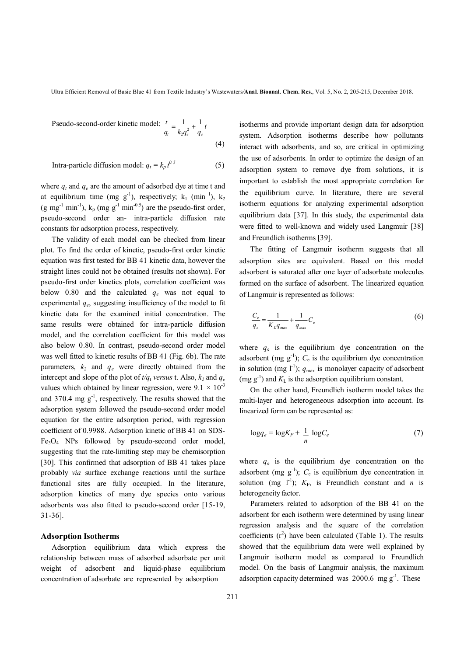Pseudo-second-order kinetic model: 
$$
\frac{t}{q_i} = \frac{1}{k_2 q_e^2} + \frac{1}{q_e} t
$$
(4)

Intra-particle diffusion model:  $q_t = k_p t^{0.5}$ *0.5* (5)

where  $q_t$  and  $q_e$  are the amount of adsorbed dye at time t and at equilibrium time (mg  $g^{-1}$ ), respectively;  $k_1$  (min<sup>-1</sup>),  $k_2$ (g mg<sup>-1</sup> min<sup>-1</sup>),  $k_p$  (mg g<sup>-1</sup> min<sup>-0.5</sup>) are the pseudo-first order, pseudo-second order an- intra-particle diffusion rate constants for adsorption process, respectively.

 The validity of each model can be checked from linear plot. To find the order of kinetic, pseudo-first order kinetic equation was first tested for BB 41 kinetic data, however the straight lines could not be obtained (results not shown). For pseudo-first order kinetics plots, correlation coefficient was below  $0.80$  and the calculated  $q_e$  was not equal to experimental *q<sup>e</sup>* , suggesting insufficiency of the model to fit kinetic data for the examined initial concentration. The same results were obtained for intra-particle diffusion model, and the correlation coefficient for this model was also below 0.80. In contrast, pseudo-second order model was well fitted to kinetic results of BB 41 (Fig. 6b). The rate parameters,  $k_2$  and  $q_e$  were directly obtained from the intercept and slope of the plot of  $t/q_t$  *versus* t. Also,  $k_2$  and  $q_e$ values which obtained by linear regression, were  $9.1 \times 10^{-3}$ and  $370.4 \text{ mg g}^{-1}$ , respectively. The results showed that the adsorption system followed the pseudo-second order model equation for the entire adsorption period, with regression coefficient of 0.9988. Adsorption kinetic of BB 41 on SDS- $Fe<sub>3</sub>O<sub>4</sub>$  NPs followed by pseudo-second order model, suggesting that the rate-limiting step may be chemisorption [30]. This confirmed that adsorption of BB 41 takes place probably *via* surface exchange reactions until the surface functional sites are fully occupied. In the literature, adsorption kinetics of many dye species onto various adsorbents was also fitted to pseudo-second order [15-19, 31-36].

#### **Adsorption Isotherms**

 Adsorption equilibrium data which express the relationship between mass of adsorbed adsorbate per unit weight of adsorbent and liquid-phase equilibrium concentration of adsorbate are represented by adsorption

isotherms and provide important design data for adsorption system. Adsorption isotherms describe how pollutants interact with adsorbents, and so, are critical in optimizing the use of adsorbents. In order to optimize the design of an adsorption system to remove dye from solutions, it is important to establish the most appropriate correlation for the equilibrium curve. In literature, there are several isotherm equations for analyzing experimental adsorption equilibrium data [37]. In this study, the experimental data were fitted to well-known and widely used Langmuir [38] and Freundlich isotherms [39].

 The fitting of Langmuir isotherm suggests that all adsorption sites are equivalent. Based on this model adsorbent is saturated after one layer of adsorbate molecules formed on the surface of adsorbent. The linearized equation of Langmuir is represented as follows:

$$
\frac{C_e}{q_e} = \frac{1}{K_L q_{max}} + \frac{1}{q_{max}} C_e
$$
\n<sup>(6)</sup>

where  $q_e$  is the equilibrium dye concentration on the adsorbent (mg  $g^{-1}$ );  $C_e$  is the equilibrium dye concentration in solution (mg  $l^{-1}$ );  $q_{\text{max}}$  is monolayer capacity of adsorbent (mg  $g^{-1}$ ) and  $K<sub>L</sub>$  is the adsorption equilibrium constant.

 On the other hand, Freundlich isotherm model takes the multi-layer and heterogeneous adsorption into account. Its linearized form can be represented as:

$$
\log q_e = \log K_F + \frac{1}{n} \log C_e \tag{7}
$$

where  $q_e$  is the equilibrium dye concentration on the adsorbent (mg  $g^{-1}$ );  $C_e$  is equilibrium dye concentration in solution (mg  $l^{-1}$ );  $K_F$ , is Freundlich constant and *n* is heterogeneity factor.

 Parameters related to adsorption of the BB 41 on the adsorbent for each isotherm were determined by using linear regression analysis and the square of the correlation coefficients  $(r^2)$  have been calculated (Table 1). The results showed that the equilibrium data were well explained by Langmuir isotherm model as compared to Freundlich model. On the basis of Langmuir analysis, the maximum adsorption capacity determined was  $2000.6$  mg  $g^{-1}$ . These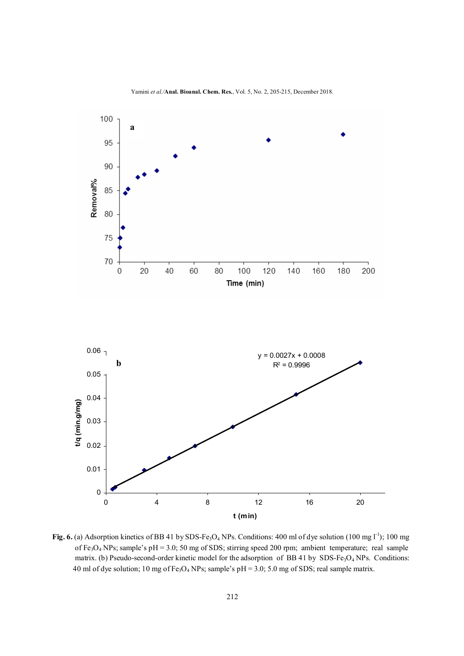

Yamini *et al./***Anal. Bioanal. Chem. Res.**, Vol. 5, No. 2, 205-215, December 2018.

Fig. 6. (a) Adsorption kinetics of BB 41 by SDS-Fe<sub>3</sub>O<sub>4</sub> NPs. Conditions: 400 ml of dye solution  $(100 \text{ mg l}^{-1})$ ; 100 mg of Fe<sub>3</sub>O<sub>4</sub> NPs; sample's pH = 3.0; 50 mg of SDS; stirring speed 200 rpm; ambient temperature; real sample matrix. (b) Pseudo-second-order kinetic model for the adsorption of BB 41 by SDS-Fe<sub>3</sub>O<sub>4</sub> NPs. Conditions: 40 ml of dye solution; 10 mg of  $Fe<sub>3</sub>O<sub>4</sub>$  NPs; sample's pH = 3.0; 5.0 mg of SDS; real sample matrix.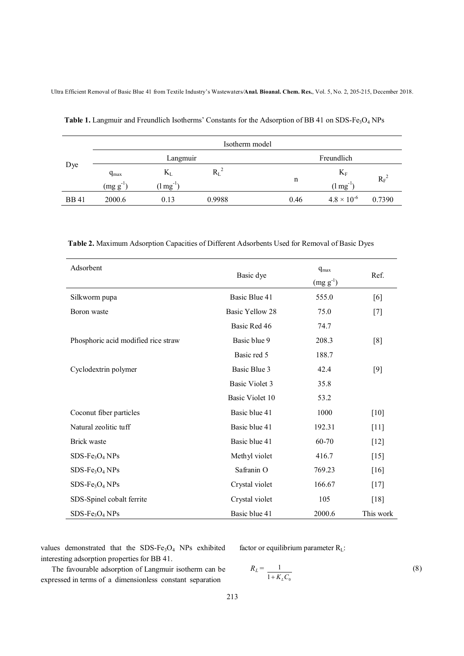|              | Isotherm model |                             |           |      |                       |               |  |
|--------------|----------------|-----------------------------|-----------|------|-----------------------|---------------|--|
| Dye          | Langmuir       |                             |           |      | Freundlich            |               |  |
|              | $q_{max}$      | $\rm K_L$                   | $\rm R_L$ |      | $K_F$                 |               |  |
|              | (mg g)         | $(\text{Im} \text{g}^{-1})$ |           | n    | $(1 \text{ mg}^{-1})$ | $R_{\rm F}^2$ |  |
| <b>BB</b> 41 | 2000.6         | 0.13                        | 0.9988    | 0.46 | $4.8 \times 10^{-6}$  | 0.7390        |  |

Table 1. Langmuir and Freundlich Isotherms' Constants for the Adsorption of BB 41 on SDS-Fe<sub>3</sub>O<sub>4</sub> NPs

 **Table 2.** Maximum Adsorption Capacities of Different Adsorbents Used for Removal of Basic Dyes

| Adsorbent                           | Basic dye             | $q_{max}$<br>$(mg g^{-1})$ | Ref.      |
|-------------------------------------|-----------------------|----------------------------|-----------|
| Silkworm pupa                       | Basic Blue 41         | 555.0                      | [6]       |
| Boron waste                         | Basic Yellow 28       | 75.0                       | $[7]$     |
|                                     | Basic Red 46          | 74.7                       |           |
| Phosphoric acid modified rice straw | Basic blue 9          | 208.3                      | [8]       |
|                                     | Basic red 5           | 188.7                      |           |
| Cyclodextrin polymer                | Basic Blue 3          | 42.4                       | [9]       |
|                                     | <b>Basic Violet 3</b> | 35.8                       |           |
|                                     | Basic Violet 10       | 53.2                       |           |
| Coconut fiber particles             | Basic blue 41         | 1000                       | $[10]$    |
| Natural zeolitic tuff               | Basic blue 41         | 192.31                     | $[11]$    |
| Brick waste                         | Basic blue 41         | 60-70                      | $[12]$    |
| $SDS-Fe3O4NPs$                      | Methyl violet         | 416.7                      | $[15]$    |
| $SDS-Fe3O4NPs$                      | Safranin O            | 769.23                     | [16]      |
| $SDS-Fe3O4NPs$                      | Crystal violet        | 166.67                     | $[17]$    |
| SDS-Spinel cobalt ferrite           | Crystal violet        | 105                        | [18]      |
| $SDS-Fe3O4NPs$                      | Basic blue 41         | 2000.6                     | This work |

values demonstrated that the SDS-Fe<sub>3</sub>O<sub>4</sub> NPs exhibited interesting adsorption properties for BB 41.

 The favourable adsorption of Langmuir isotherm can be expressed in terms of a dimensionless constant separation

factor or equilibrium parameter  $R_L$ :

$$
R_L = \frac{1}{1 + K_L C_0} \tag{8}
$$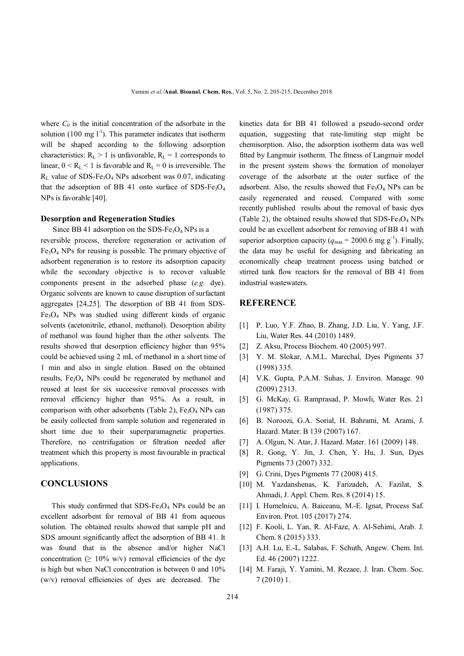where  $C_0$  is the initial concentration of the adsorbate in the solution (100 mg  $I^{-1}$ ). This parameter indicates that isotherm will be shaped according to the following adsorption characteristics:  $R_L > 1$  is unfavorable,  $R_L = 1$  corresponds to linear,  $0 < R_L < 1$  is favorable and  $R_L = 0$  is irreversible. The  $R<sub>L</sub>$  value of SDS-Fe<sub>3</sub>O<sub>4</sub> NPs adsorbent was 0.07, indicating that the adsorption of BB 41 onto surface of SDS-Fe<sub>3</sub>O<sub>4</sub> NPs is favorable [40].

## **Desorption and Regeneration Studies**

Since BB 41 adsorption on the SDS-Fe<sub>3</sub>O<sub>4</sub> NPs is a reversible process, therefore regeneration or activation of  $Fe<sub>3</sub>O<sub>4</sub>$  NPs for reusing is possible. The primary objective of adsorbent regeneration is to restore its adsorption capacity while the secondary objective is to recover valuable components present in the adsorbed phase (*e.g.* dye). Organic solvents are known to cause disruption of surfactant aggregates [24,25]. The desorption of BB 41 from SDS- $Fe<sub>3</sub>O<sub>4</sub>$  NPs was studied using different kinds of organic solvents (acetonitrile, ethanol, methanol). Desorption ability of methanol was found higher than the other solvents. The results showed that desorption efficiency higher than 95% could be achieved using 2 mL of methanol in a short time of 1 min and also in single elution. Based on the obtained results, Fe3O4 NPs could be regenerated by methanol and reused at least for six successive removal processes with removal efficiency higher than 95%. As a result, in comparison with other adsorbents (Table 2),  $Fe<sub>3</sub>O<sub>4</sub>$  NPs can be easily collected from sample solution and regenerated in short time due to their superparamagnetic properties. Therefore, no centrifugation or filtration needed after treatment which this property is most favourable in practical applications.

## **CONCLUSIONS**

This study confirmed that  $SDS-Fe<sub>3</sub>O<sub>4</sub>$  NPs could be an excellent adsorbent for removal of BB 41 from aqueous solution. The obtained results showed that sample pH and SDS amount significantly affect the adsorption of BB 41. It was found that in the absence and/or higher NaCl concentration ( $\geq 10\%$  w/v) removal efficiencies of the dye is high but when NaCl concentration is between 0 and 10% (w/v) removal efficiencies of dyes are decreased. The

kinetics data for BB 41 followed a pseudo-second order equation, suggesting that rate-limiting step might be chemisorption. Also, the adsorption isotherm data was well fitted by Langmuir isotherm. The fitness of Langmuir model in the present system shows the formation of monolayer coverage of the adsorbate at the outer surface of the adsorbent. Also, the results showed that  $Fe<sub>3</sub>O<sub>4</sub>$  NPs can be easily regenerated and reused. Compared with some recently published results about the removal of basic dyes (Table 2), the obtained results showed that  $SDS-Fe<sub>3</sub>O<sub>4</sub> NPs$ could be an excellent adsorbent for removing of BB 41 with superior adsorption capacity ( $q_{\text{max}} = 2000.6 \text{ mg g}^{-1}$ ). Finally, the data may be useful for designing and fabricating an economically cheap treatment process using batched or stirred tank flow reactors for the removal of BB 41 from industrial wastewaters.

## **REFERENCE**

- [1] P. Luo, Y.F. Zhao, B. Zhang, J.D. Liu, Y. Yang, J.F. Liu, Water Res. 44 (2010) 1489.
- [2] Z. Aksu, Process Biochem. 40 (2005) 997.
- [3] Y. M. Slokar, A.M.L. Marechal, Dyes Pigments 37 (1998) 335.
- [4] V.K. Gupta, P.A.M. Suhas, J. Environ. Manage. 90 (2009) 2313.
- [5] G. McKay, G. Ramprasad, P. Mowli, Water Res. 21 (1987) 375.
- [6] B. Noroozi, G.A. Sorial, H. Bahrami, M. Arami, J. Hazard. Mater. B 139 (2007) 167.
- [7] A. Olgun, N. Atar, J. Hazard. Mater. 161 (2009) 148.
- [8] R. Gong, Y. Jin, J. Chen, Y. Hu, J. Sun, Dyes Pigments 73 (2007) 332.
- [9] G. Crini, Dyes Pigments 77 (2008) 415.
- [10] M. Yazdanshenas, K. Farizadeh, A. Fazilat, S. Ahmadi, J. Appl. Chem. Res. 8 (2014) 15.
- [11] I. Humelnicu, A. Baiceanu, M.-E. Ignat, Process Saf. Environ. Prot. 105 (2017) 274.
- [12] F. Kooli, L. Yan, R. Al-Faze, A. Al-Sehimi, Arab. J. Chem. 8 (2015) 333.
- [13] A.H. Lu, E.-L. Salabas, F. Schuth, Angew. Chem. Int. Ed. 46 (2007) 1222.
- [14] M. Faraji, Y. Yamini, M. Rezaee, J. Iran. Chem. Soc. 7 (2010) 1.